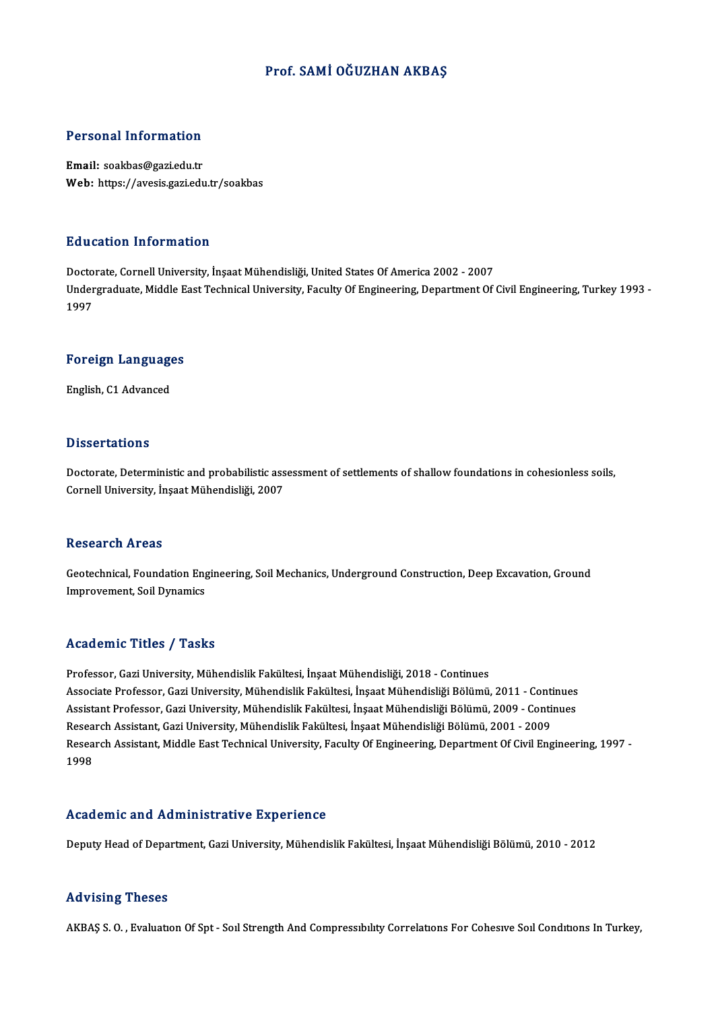#### Prof. SAMİOĞUZHAN AKBAŞ

#### Personal Information

Email: soakbas@gazi.edu.tr Web: https://avesis.gazi.edu.tr/soakbas

#### Education Information

<mark>Education Information</mark><br>Doctorate, Cornell University, İnşaat Mühendisliği, United States Of America 2002 - 2007<br>Undergraduate Middle Fast Technical University, Faculty Of Engineering, Denartment Of Undergraduate, Middle East Technical University, Faculty Of Engineering, Department Of Civil Engineering, Turkey 1993 -<br>1997 Docto<br>Under<br>1997

# 1<sup>997</sup><br>Foreign Languages <mark>Foreign Languag</mark>e<br>English, C1 Advanced

English, C1 Advanced<br>Dissertations

Doctorate, Deterministic and probabilistic assessment of settlements of shallow foundations in cohesionless soils, Cornell University, İnşaat Mühendisliği, 2007

#### **Research Areas**

Research Areas<br>Geotechnical, Foundation Engineering, Soil Mechanics, Underground Construction, Deep Excavation, Ground<br>Imprevement, Soil Dynamics It South on the Star<br>Geotechnical, Foundation Eng<br>Improvement, Soil Dynamics Improvement, Soil Dynamics<br>Academic Titles / Tasks

Professor, Gazi University, Mühendislik Fakültesi, İnşaat Mühendisliği, 2018 - Continues Associate Articus 7 Ansku<br>Professor, Gazi University, Mühendislik Fakültesi, İnşaat Mühendisliği, 2018 - Continues<br>Associate Professor, Gazi University, Mühendislik Fakültesi, İnşaat Mühendisliği Bölümü, 2011 - Continues<br>A Professor, Gazi University, Mühendislik Fakültesi, İnşaat Mühendisliği, 2018 - Continues<br>Associate Professor, Gazi University, Mühendislik Fakültesi, İnşaat Mühendisliği Bölümü, 2011 - Continues<br>Assistant Professor, Gazi U Associate Professor, Gazi University, Mühendislik Fakültesi, İnşaat Mühendisliği Bölümü, 2011 - Conti<br>Assistant Professor, Gazi University, Mühendislik Fakültesi, İnşaat Mühendisliği Bölümü, 2009 - Conti<br>Research Assistant Assistant Professor, Gazi University, Mühendislik Fakültesi, İnşaat Mühendisliği Bölümü, 2009 - Continues<br>Research Assistant, Gazi University, Mühendislik Fakültesi, İnşaat Mühendisliği Bölümü, 2001 - 2009<br>Research Assista Research Assistant, Gazi University, Mühendislik Fakültesi, İnşaat Mühendisliği Bölümü, 2001 - 2009

#### Academic and Administrative Experience

Deputy Head of Department, Gazi University, Mühendislik Fakültesi, İnşaat Mühendisliği Bölümü, 2010 - 2012

#### Advising Theses

AKBAŞ S.O., Evaluatıon Of Spt - Soıl Strength And Compressibility Correlations For Cohesive Soil Conditions In Turkey,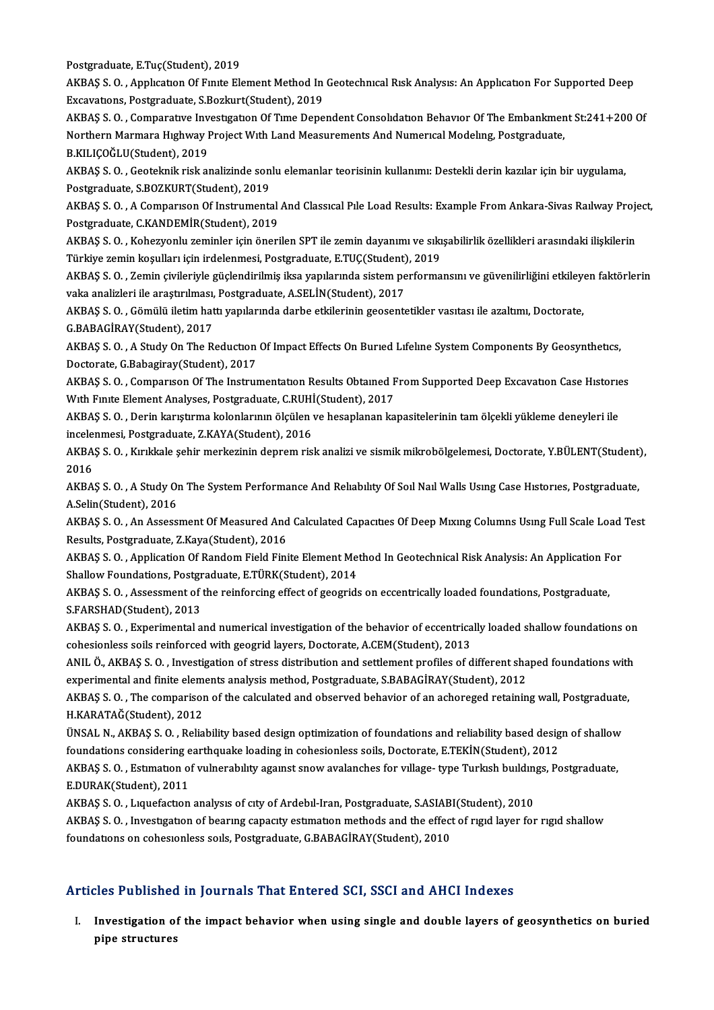Postgraduate, E.Tuç(Student), 2019

Postgraduate, E.Tuç(Student), 2019<br>AKBAŞ S. O. , Applıcatıon Of Fınıte Element Method In Geotechnıcal Rısk Analysıs: An Applıcatıon For Supported Deep Postgraduate, E.Tuç(Student), 2019<br>AKBAŞ S. O. , Application Of Finite Element Method In<br>Excavations, Postgraduate, S.Bozkurt(Student), 2019<br>AKBAS S. O., Comparative Investigation Of Time Dane AKBAŞ S. O. , Application Of Finite Element Method In Geotechnical Risk Analysis: An Application For Supported Deep<br>Excavations, Postgraduate, S.Bozkurt(Student), 2019<br>AKBAŞ S. O. , Comparative Investigation Of Time Depend

Excavations, Postgraduate, S.Bozkurt(Student), 2019<br>AKBAŞ S. O. , Comparative Investigation Of Time Dependent Consolidation Behavior Of The Embankmen<br>Northern Marmara Highway Project With Land Measurements And Numerical Mo AKBAŞ S. O. , Comparative Inv<br>Northern Marmara Highway I<br>B.KILIÇOĞLU(Student), 2019<br>AKBAS S. O. Costalmik risk al Northern Marmara Hıghway Project Wıth Land Measurements And Numerıcal Modeling, Postgraduate,<br>B.KILIÇOĞLU(Student), 2019<br>AKBAŞ S. O. , Geoteknik risk analizinde sonlu elemanlar teorisinin kullanımı: Destekli derin kazılar

B.KILIÇOĞLU(Student), 2019<br>AKBAŞ S. O. , Geoteknik risk analizinde son<br>Postgraduate, S.BOZKURT(Student), 2019<br>AKBAS S. O. A Comparison Of Instruments AKBAŞ S. O. , Geoteknik risk analizinde sonlu elemanlar teorisinin kullanımı: Destekli derin kazılar için bir uygulama,<br>Postgraduate, S.BOZKURT(Student), 2019<br>AKBAŞ S. O. , A Comparıson Of Instrumental And Classıcal Pıle L

Postgraduate, S.BOZKURT(Student), 2019<br>AKBAŞ S. O. , A Comparison Of Instrumental<br>Postgraduate, C.KANDEMİR(Student), 2019<br>AKBAS S. O., Koherwonlu zeminler için öneri AKBAŞ S. O. , A Comparison Of Instrumental And Classical Pile Load Results: Example From Ankara-Sivas Railway Proje<br>Postgraduate, C.KANDEMİR(Student), 2019<br>AKBAŞ S. O. , Kohezyonlu zeminler için önerilen SPT ile zemin daya

Postgraduate, C.KANDEMİR(Student), 2019<br>AKBAŞ S. O. , Kohezyonlu zeminler için önerilen SPT ile zemin dayanımı ve sıkışabilirlik özellikleri arasındaki ilişkilerin<br>Türkiye zemin koşulları için irdelenmesi, Postgraduate, E. AKBAŞ S. O. , Kohezyonlu zeminler için önerilen SPT ile zemin dayanımı ve sıkışabilirlik özellikleri arasındaki ilişkilerin<br>Türkiye zemin koşulları için irdelenmesi, Postgraduate, E.TUÇ(Student), 2019<br>AKBAŞ S. O. , Zemin ç

Türkiye zemin koşulları için irdelenmesi, Postgraduate, E.TUÇ(Student)<br>AKBAŞ S. O. , Zemin çivileriyle güçlendirilmiş iksa yapılarında sistem pe<br>vaka analizleri ile araştırılması, Postgraduate, A.SELİN(Student), 2017<br>AKBAS AKBAŞ S. O. , Zemin çivileriyle güçlendirilmiş iksa yapılarında sistem performansını ve güvenilirliğini etkiley<br>vaka analizleri ile araştırılması, Postgraduate, A.SELİN(Student), 2017<br>AKBAŞ S. O. , Gömülü iletim hattı yapı

vaka analizleri ile araştırılması,<br>AKBAŞ S. O. , Gömülü iletim hat<br>G.BABAGİRAY(Student), 2017<br>AKBAS S. O. , A Study Op The B AKBAŞ S. O. , Gömülü iletim hattı yapılarında darbe etkilerinin geosentetikler vasıtası ile azaltımı, Doctorate,<br>G.BABAGİRAY(Student), 2017<br>AKBAŞ S. O. , A Study On The Reduction Of Impact Effects On Buried Lifeline System

G.BABAGİRAY(Student), 2017<br>AKBAŞ S. O. , A Study On The Reduction<br>Doctorate, G.Babagiray(Student), 2017<br>AKBAS S. O., Compaween Of The Instruu AKBAŞ S. O. , A Study On The Reduction Of Impact Effects On Buried Lifeline System Components By Geosynthetics,<br>Doctorate, G.Babagiray(Student), 2017<br>AKBAŞ S. O. , Comparison Of The Instrumentation Results Obtained From Su

Doctorate, G.Babagiray(Student), 2017<br>AKBAŞ S. O. , Comparison Of The Instrumentation Results Obtained F<br>With Finite Element Analyses, Postgraduate, C.RUHİ(Student), 2017<br>AKRAS S. O., Derin kanıstırma kolonlarının ölgülen AKBAŞ S. O. , Comparıson Of The Instrumentatıon Results Obtained From Supported Deep Excavation Case Historie<br>With Finite Element Analyses, Postgraduate, C.RUHİ(Student), 2017<br>AKBAŞ S. O. , Derin karıştırma kolonlarının öl

With Finite Element Analyses, Postgraduate, C.RUHİ<br>AKBAŞ S. O. , Derin karıştırma kolonlarının ölçülen<br>incelenmesi, Postgraduate, Z.KAYA(Student), 2016<br>AKRAS S. O., Kırıkkala sehir merkezinin danram ris AKBAŞ S. O. , Derin karıştırma kolonlarının ölçülen ve hesaplanan kapasitelerinin tam ölçekli yükleme deneyleri ile<br>incelenmesi, Postgraduate, Z.KAYA(Student), 2016<br>AKBAŞ S. O. , Kırıkkale şehir merkezinin deprem risk anal

incele<br>AKBA<br>2016<br>AKRA AKBAŞ S. O. , Kırıkkale şehir merkezinin deprem risk analizi ve sismik mikrobölgelemesi, Doctorate, Y.BÜLENT(Student)<br>2016<br>AKBAŞ S. O. , A Study On The System Performance And Relıabılıty Of Soıl Naıl Walls Usıng Case Hısto

2016<br>AKBAŞ S. O. , A Study On The System Performance And Relıabılıty Of Soıl Naıl Walls Usıng Case Hıstorıes, Postgraduate,<br>A.Selin(Student), 2016 AKBAŞ S. O. , A Study On The System Performance And Reliability Of Soil Nail Walls Using Case Histories, Postgraduate,<br>A.Selin(Student), 2016<br>AKBAŞ S. O. , An Assessment Of Measured And Calculated Capacities Of Deep Mixing

A.Selin(Student), 2016<br>AKBAŞ S. O. , An Assessment Of Measured And<br>Results, Postgraduate, Z.Kaya(Student), 2016<br>AKRAS S. O., Application Of Bandom Field Eini AKBAŞ S. O. , An Assessment Of Measured And Calculated Capacities Of Deep Mixing Columns Using Full Scale Load<br>Results, Postgraduate, Z.Kaya(Student), 2016<br>AKBAŞ S. O. , Application Of Random Field Finite Element Method In

Results, Postgraduate, Z.Kaya(Student), 2016<br>AKBAŞ S. O. , Application Of Random Field Finite Element Met<br>Shallow Foundations, Postgraduate, E.TÜRK(Student), 2014<br>AKRAS S. O., Assessment of the reinforsing effect of geogri AKBAŞ S. O. , Application Of Random Field Finite Element Method In Geotechnical Risk Analysis: An Application F<br>Shallow Foundations, Postgraduate, E.TÜRK(Student), 2014<br>AKBAŞ S. O. , Assessment of the reinforcing effect of

Shallow Foundations, Postgraduate, E.TÜRK(Student), 2014<br>AKBAŞ S. O. , Assessment of the reinforcing effect of geogrids on eccentrically loaded foundations, Postgraduate,<br>S.FARSHAD(Student), 2013 AKBAŞ S. O. , Assessment of the reinforcing effect of geogrids on eccentrically loaded foundations, Postgraduate,<br>S.FARSHAD(Student), 2013<br>AKBAŞ S. O. , Experimental and numerical investigation of the behavior of eccentric

S.FARSHAD(Student), 2013<br>AKBAŞ S. O. , Experimental and numerical investigation of the behavior of eccentrica<br>cohesionless soils reinforced with geogrid layers, Doctorate, A.CEM(Student), 2013<br>ANU, Ö. AKRAS S. O., Investig AKBAŞ S. O. , Experimental and numerical investigation of the behavior of eccentrically loaded shallow foundations on<br>cohesionless soils reinforced with geogrid layers, Doctorate, A.CEM(Student), 2013<br>ANIL Ö., AKBAŞ S. O.

cohesionless soils reinforced with geogrid layers, Doctorate, A.CEM(Student), 2013<br>ANIL Ö., AKBAŞ S. O. , Investigation of stress distribution and settlement profiles of different sha<br>experimental and finite elements analy ANIL Ö., AKBAŞ S. O. , Investigation of stress distribution and settlement profiles of different shaped foundations with<br>experimental and finite elements analysis method, Postgraduate, S.BABAGİRAY(Student), 2012<br>AKBAŞ S. O

experimental and finite elements analysis method, Postgraduate, S.BABAGİRAY(Student), 2012<br>AKBAŞ S. O. , The comparison of the calculated and observed behavior of an achoreged retaining wall, Postgraduate,<br>H.KARATAĞ(Studen AKBAŞ S. O. , The comparison of the calculated and observed behavior of an achoreged retaining wall, Postgraduate<br>H.KARATAĞ(Student), 2012<br>ÜNSAL N., AKBAŞ S. O. , Reliability based design optimization of foundations and re

H.KARATAĞ(Student), 2012<br>ÜNSAL N., AKBAŞ S. O. , Reliability based design optimization of foundations and reliability based desig<br>foundations considering earthquake loading in cohesionless soils, Doctorate, E.TEKİN(Student ÜNSAL N., AKBAŞ S. O. , Reliability based design optimization of foundations and reliability based design of shallow<br>foundations considering earthquake loading in cohesionless soils, Doctorate, E.TEKİN(Student), 2012<br>AKBAŞ

foundations considering e<br>AKBAŞ S. O. , Estimation o<br>E.DURAK(Student), 2011<br>AKBAS S. O. , Liquefaction AKBAŞ S. O. , Estimation of vulnerability against snow avalanches for village- type Turkish buildin<br>E.DURAK(Student), 2011<br>AKBAŞ S. O. , Liquefaction analysis of city of Ardebil-Iran, Postgraduate, S.ASIABI(Student), 2010<br>

AKBAŞ S. O., Liquefaction analysis of city of Ardebil-Iran, Postgraduate, S.ASIABI(Student), 2010

E.DURAK(Student), 2011<br>AKBAŞ S. O. , Lıquefactıon analysıs of cıty of Ardebil-Iran, Postgraduate, S.ASIABI(Student), 2010<br>AKBAŞ S. O. , Investıgatıon of bearıng capacıty estımatıon methods and the effect of rıgıd layer for

### Articles Published in Journals That Entered SCI, SSCI and AHCI Indexes

rticles Published in Journals That Entered SCI, SSCI and AHCI Indexes<br>I. Investigation of the impact behavior when using single and double layers of geosynthetics on buried<br>Rine structures pics a distinct<br>Investigation of<br>pipe structures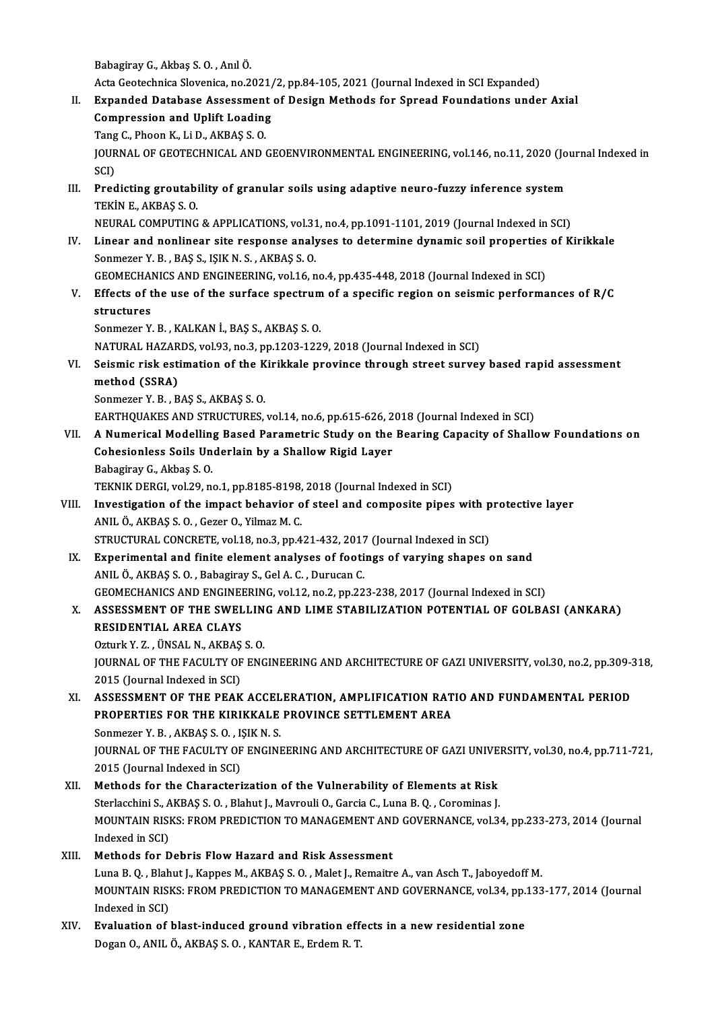BabagirayG.,Akbaş S.O. ,AnılÖ.

Acta Geotechnica Slovenica, no.2021/2, pp.84-105, 2021 (Journal Indexed in SCI Expanded)

- Babagiray G., Akbaş S. O. , Anıl Ö.<br>Acta Geotechnica Slovenica, no.2021/2, pp.84-105, 2021 (Journal Indexed in SCI Expanded)<br>II. Expanded Database Assessment of Design Methods for Spread Foundations under Axial<br>Compression Acta Geotechnica Slovenica, no.2021/<br>Expanded Database Assessment<br>Compression and Uplift Loading<br>Tang C. Pheen K. Li.D. AKBAS S. O. Expanded Database Assessment<br>Compression and Uplift Loading<br>Tang C., Phoon K., Li D., AKBAŞ S. O.<br>JOUPMAL OF CEOTECHNICAL AND ( Compression and Uplift Loading<br>Tang C., Phoon K., Li D., AKBAŞ S. O.<br>JOURNAL OF GEOTECHNICAL AND GEOENVIRONMENTAL ENGINEERING, vol.146, no.11, 2020 (Journal Indexed in<br>SCI) Tang C., Phoon K., Li D., AKBAŞ S.O. JOURNAL OF GEOTECHNICAL AND GEOENVIRONMENTAL ENGINEERING, vol.146, no.11, 2020 (Jo<br>SCI)<br>III. Predicting groutability of granular soils using adaptive neuro-fuzzy inference system<br>TEVIN E AVPAS S.O
- SCI)<br>Predicting groutabi<br>TEKİN E., AKBAŞ S. O.<br>NEURAL COMPUTINC TEKIN E., AKBAŞ S. O.<br>NEURAL COMPUTING & APPLICATIONS, vol.31, no.4, pp.1091-1101, 2019 (Journal Indexed in SCI)
	-
- TEKİN E., AKBAŞ S. O.<br>NEURAL COMPUTING & APPLICATIONS, vol.31, no.4, pp.1091-1101, 2019 (Journal Indexed in SCI)<br>IV. Linear and nonlinear site response analyses to determine dynamic soil properties of Kirikkale<br>Sonmato NEURAL COMPUTING & APPLICATIONS, vol.31<br>Linear and nonlinear site response analy<br>Sonmezer Y. B., BAŞ S., IŞIK N. S., AKBAŞ S. O.<br>CEOMECHANICS AND ENCINEERING vol.16 r Linear and nonlinear site response analyses to determine dynamic soil properties<br>Sonmezer Y. B., BAŞ S., IŞIK N. S., AKBAŞ S. O.<br>GEOMECHANICS AND ENGINEERING, vol.16, no.4, pp.435-448, 2018 (Journal Indexed in SCI)<br>Effects
- Sonmezer Y. B., BAŞ S., IŞIK N. S., AKBAŞ S. O.<br>GEOMECHANICS AND ENGINEERING, vol.16, no.4, pp.435-448, 2018 (Journal Indexed in SCI)<br>V. Effects of the use of the surface spectrum of a specific region on seismic performanc GEOMECHAL<br>Effects of t<br>structures<br>Sonmerer V Effects of the use of the surface spectrum<br>structures<br>Sonmezer Y. B., KALKAN İ., BAŞ S., AKBAŞ S. O.<br>NATURAL HAZARDS vol 92 no 2 nn 1202 122 structures<br>Sonmezer Y. B. , KALKAN İ., BAŞ S., AKBAŞ S. O.<br>NATURAL HAZARDS, vol.93, no.3, pp.1203-1229, 2018 (Journal Indexed in SCI)

Sonmezer Y. B. , KALKAN İ., BAŞ S., AKBAŞ S. O.<br>NATURAL HAZARDS, vol.93, no.3, pp.1203-1229, 2018 (Journal Indexed in SCI)<br>VI. Seismic risk estimation of the Kirikkale province through street survey based rapid assessm NATURAL HAZAR<br>Seismic risk est<br>method (SSRA)<br>Sonmoror V-P--P Seismic risk estimation of the K<br>method (SSRA)<br>Sonmezer Y. B., BAŞ S., AKBAŞ S. O.<br>FARTHOUAVES AND STRUCTURES method (SSRA)<br>Sonmezer Y. B., BAŞ S., AKBAŞ S. O.<br>EARTHQUAKES AND STRUCTURES, vol.14, no.6, pp.615-626, 2018 (Journal Indexed in SCI)

VII. A Numerical Modelling Based Parametric Study on the Bearing Capacity of Shallow Foundations on Cohesionless Soils Underlain by a Shallow Rigid Layer BabagirayG.,Akbaş S.O. Cohesionless Soils Underlain by a Shallow Rigid Layer<br>Babagiray G., Akbaş S. O.<br>TEKNIK DERGI, vol.29, no.1, pp.8185-8198, 2018 (Journal Indexed in SCI)<br>Investigation of the impact behavior of steel and composite pines

- Babagiray G., Akbaş S. O.<br>TEKNIK DERGI, vol.29, no.1, pp.8185-8198, 2018 (Journal Indexed in SCI)<br>VIII. Investigation of the impact behavior of steel and composite pipes with protective layer<br>ANIL Ö AKRAS S.O. COTOR O. Vil TEKNIK DERGI, vol.29, no.1, pp.8185-8198,<br>Investigation of the impact behavior of<br>ANIL Ö., AKBAŞ S. O. , Gezer O., Yilmaz M. C.<br>STRUCTURAL CONCRETE vol.18, no.2, np.4 Investigation of the impact behavior of steel and composite pipes with p<br>ANIL Ö., AKBAŞ S. O. , Gezer O., Yilmaz M. C.<br>STRUCTURAL CONCRETE, vol.18, no.3, pp.421-432, 2017 (Journal Indexed in SCI)<br>Experimental and finite al ANIL Ö., AKBAŞ S. O., Gezer O., Yilmaz M. C.<br>STRUCTURAL CONCRETE, vol.18, no.3, pp.421-432, 2017 (Journal Indexed in SCI)<br>IX. Experimental and finite element analyses of footings of varying shapes on sand
- STRUCTURAL CONCRETE, vol.18, no.3, pp.421-432, 2017<br>Experimental and finite element analyses of footi<br>ANIL Ö., AKBAŞ S. O. , Babagiray S., Gel A. C. , Durucan C.<br>CEOMECHANICS AND ENCINEERING .vol.13, no.3, np.32 Experimental and finite element analyses of footings of varying shapes on sand<br>ANIL Ö., AKBAŞ S. O., Babagiray S., Gel A. C., Durucan C.<br>GEOMECHANICS AND ENGINEERING, vol.12, no.2, pp.223-238, 2017 (Journal Indexed in SCI)
- ANIL Ö., AKBAŞ S. O. , Babagiray S., Gel A. C. , Durucan C.<br>GEOMECHANICS AND ENGINEERING, vol.12, no.2, pp.223-238, 2017 (Journal Indexed in SCI)<br>X. ASSESSMENT OF THE SWELLING AND LIME STABILIZATION POTENTIAL OF GOLBASI (A GEOMECHANICS AND ENGINE<br>ASSESSMENT OF THE SWEL<br>RESIDENTIAL AREA CLAYS ASSESSMENT OF THE SWELLIN<br>RESIDENTIAL AREA CLAYS<br>Ozturk Y. Z. , ÜNSAL N., AKBAŞ S. O.<br>JOUPNAL OF THE FACULTY OF ENC

RESIDENTIAL AREA CLAYS<br>Ozturk Y. Z. , ÜNSAL N., AKBAŞ S. O.<br>JOURNAL OF THE FACULTY OF ENGINEERING AND ARCHITECTURE OF GAZI UNIVERSITY, vol.30, no.2, pp.309-318,<br>2015 (Journal Indoved in SCI) Ozturk Y. Z. , ÜNSAL N., AKBAŞ<br>JOURNAL OF THE FACULTY OF<br>2015 (Journal Indexed in SCI)<br>ASSESSMENT OF THE PEA*V* JOURNAL OF THE FACULTY OF ENGINEERING AND ARCHITECTURE OF GAZI UNIVERSITY, vol.30, no.2, pp.309-3<br>2015 (Journal Indexed in SCI)<br>XI. ASSESSMENT OF THE PEAK ACCELERATION, AMPLIFICATION RATIO AND FUNDAMENTAL PERIOD<br>REORERTIES

- 2015 (Journal Indexed in SCI)<br>ASSESSMENT OF THE PEAK ACCELERATION, AMPLIFICATION RAT<br>PROPERTIES FOR THE KIRIKKALE PROVINCE SETTLEMENT AREA<br>Sonmager V P AKPAS S.O., ISIK N.S. ASSESSMENT OF THE PEAK ACCEL<br>PROPERTIES FOR THE KIRIKKALE<br>Sonmezer Y. B. , AKBAŞ S. O. , IŞIK N. S.<br>JOUPMAL OF THE FACULTY OF ENCINI PROPERTIES FOR THE KIRIKKALE PROVINCE SETTLEMENT AREA<br>Sonmezer Y. B. , AKBAŞ S. O. , IŞIK N. S.<br>JOURNAL OF THE FACULTY OF ENGINEERING AND ARCHITECTURE OF GAZI UNIVERSITY, vol.30, no.4, pp.711-721,<br>2015 (Journal Indoved in Sonmezer Y. B. , AKBAŞ S. O. , I.<br>JOURNAL OF THE FACULTY OF<br>2015 (Journal Indexed in SCI)<br>Mathods for the Characteri JOURNAL OF THE FACULTY OF ENGINEERING AND ARCHITECTURE OF GAZI UNIVE<br>2015 (Journal Indexed in SCI)<br>XII. Methods for the Characterization of the Vulnerability of Elements at Risk<br>Starlochini S. AKPAS S.O., Plabut J. Mayroul
- 2015 (Journal Indexed in SCI)<br>Methods for the Characterization of the Vulnerability of Elements at Risk<br>Sterlacchini S., AKBAŞ S. O. , Blahut J., Mavrouli O., Garcia C., Luna B. Q. , Corominas J.<br>MOUNTAIN RISKS, EROM RREDI Methods for the Characterization of the Vulnerability of Elements at Risk<br>Sterlacchini S., AKBAŞ S. O. , Blahut J., Mavrouli O., Garcia C., Luna B. Q. , Corominas J.<br>MOUNTAIN RISKS: FROM PREDICTION TO MANAGEMENT AND GOVERN Sterlacchini S., AKBAŞ S. O. , Blahut J., Mavrouli O., Garcia C., Luna B. Q. , Corominas J.<br>MOUNTAIN RISKS: FROM PREDICTION TO MANAGEMENT AND GOVERNANCE, vol.34<br>Indexed in SCI)<br>Methods for Debris Flow Hazard and Risk Asses MOUNTAIN RISKS: FROM PREDICTION TO MANAGEMENT ANI<br>Indexed in SCI)<br>XIII. Methods for Debris Flow Hazard and Risk Assessment<br>Line B.O., Plabut L. Kannes M. AKPAS S.O., Malet L. Bemairm
- Luna B.Q., Blahut J., Kappes M., AKBAŞ S.Q., Malet J., Remaitre A., van Asch T., Jaboyedoff M. Methods for Debris Flow Hazard and Risk Assessment<br>Luna B. Q. , Blahut J., Kappes M., AKBAŞ S. O. , Malet J., Remaitre A., van Asch T., Jaboyedoff M.<br>MOUNTAIN RISKS: FROM PREDICTION TO MANAGEMENT AND GOVERNANCE, vol.34, pp Luna B. Q. , Blah<br>MOUNTAIN RISI<br>Indexed in SCI)<br>Evaluation of MOUNTAIN RISKS: FROM PREDICTION TO MANAGEMENT AND GOVERNANCE, vol.34, pp.<br>Indexed in SCI)<br>XIV. Evaluation of blast-induced ground vibration effects in a new residential zone<br>Desen O ANIL Ö AKRAS S.O. KANTAR E. Endem B.T.
- Indexed in SCI)<br>Evaluation of blast-induced ground vibration effects in a new residential zone<br>Dogan O., ANIL Ö., AKBAŞ S. O. , KANTAR E., Erdem R. T.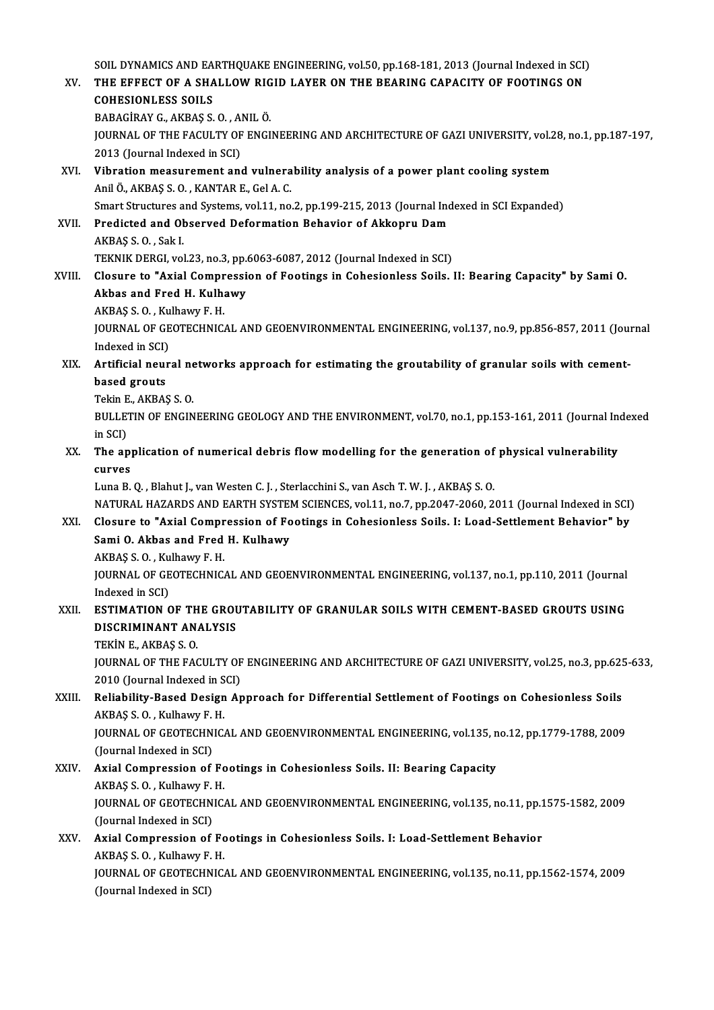|        | SOIL DYNAMICS AND EARTHQUAKE ENGINEERING, vol.50, pp.168-181, 2013 (Journal Indexed in SCI)                                           |
|--------|---------------------------------------------------------------------------------------------------------------------------------------|
| XV.    | THE EFFECT OF A SHALLOW RIGID LAYER ON THE BEARING CAPACITY OF FOOTINGS ON                                                            |
|        | <b>COHESIONLESS SOILS</b>                                                                                                             |
|        | BABAGİRAY G., AKBAŞ S. O., ANIL Ö.                                                                                                    |
|        | JOURNAL OF THE FACULTY OF ENGINEERING AND ARCHITECTURE OF GAZI UNIVERSITY, vol.28, no.1, pp.187-197,                                  |
|        | 2013 (Journal Indexed in SCI)                                                                                                         |
| XVI.   | Vibration measurement and vulnerability analysis of a power plant cooling system                                                      |
|        | Anil Ö., AKBAŞ S. O., KANTAR E., Gel A. C.                                                                                            |
|        | Smart Structures and Systems, vol.11, no.2, pp.199-215, 2013 (Journal Indexed in SCI Expanded)                                        |
| XVII.  | Predicted and Observed Deformation Behavior of Akkopru Dam                                                                            |
|        | AKBAŞ S O, Sak I                                                                                                                      |
|        | TEKNIK DERGI, vol.23, no.3, pp.6063-6087, 2012 (Journal Indexed in SCI)                                                               |
| XVIII. | Closure to "Axial Compression of Footings in Cohesionless Soils. II: Bearing Capacity" by Sami O.                                     |
|        | Akbas and Fred H. Kulhawy                                                                                                             |
|        | AKBAŞ S.O., Kulhawy F.H.                                                                                                              |
|        | JOURNAL OF GEOTECHNICAL AND GEOENVIRONMENTAL ENGINEERING, vol.137, no.9, pp.856-857, 2011 (Journal                                    |
|        | Indexed in SCI)                                                                                                                       |
| XIX.   | Artificial neural networks approach for estimating the groutability of granular soils with cement-<br>based grouts                    |
|        | Tekin E, AKBAŞ S.O.                                                                                                                   |
|        | BULLETIN OF ENGINEERING GEOLOGY AND THE ENVIRONMENT, vol.70, no.1, pp.153-161, 2011 (Journal Indexed                                  |
|        | in SCI)                                                                                                                               |
| XX.    | The application of numerical debris flow modelling for the generation of physical vulnerability                                       |
|        | curves                                                                                                                                |
|        | Luna B. Q., Blahut J., van Westen C. J., Sterlacchini S., van Asch T. W. J., AKBAS S. O.                                              |
|        | NATURAL HAZARDS AND EARTH SYSTEM SCIENCES, vol.11, no.7, pp.2047-2060, 2011 (Journal Indexed in SCI)                                  |
| XXI.   | Closure to "Axial Compression of Footings in Cohesionless Soils. I: Load-Settlement Behavior" by                                      |
|        | Sami O. Akbas and Fred H. Kulhawy                                                                                                     |
|        | AKBAŞ S.O., Kulhawy F.H.                                                                                                              |
|        | JOURNAL OF GEOTECHNICAL AND GEOENVIRONMENTAL ENGINEERING, vol.137, no.1, pp.110, 2011 (Journal                                        |
|        | Indexed in SCI)                                                                                                                       |
| XXII.  | ESTIMATION OF THE GROUTABILITY OF GRANULAR SOILS WITH CEMENT-BASED GROUTS USING                                                       |
|        | DISCRIMINANT ANALYSIS                                                                                                                 |
|        | TEKİN E, AKBAŞ S.O.                                                                                                                   |
|        | JOURNAL OF THE FACULTY OF ENGINEERING AND ARCHITECTURE OF GAZI UNIVERSITY, vol.25, no.3, pp.625-633,<br>2010 (Journal Indexed in SCI) |
| XXIII. | Reliability-Based Design Approach for Differential Settlement of Footings on Cohesionless Soils                                       |
|        | AKBAŞ S.O., Kulhawy F.H.                                                                                                              |
|        | JOURNAL OF GEOTECHNICAL AND GEOENVIRONMENTAL ENGINEERING, vol 135, no.12, pp.1779-1788, 2009                                          |
|        | (Journal Indexed in SCI)                                                                                                              |
| XXIV.  | Axial Compression of Footings in Cohesionless Soils. II: Bearing Capacity                                                             |
|        | AKBAŞ S O , Kulhawy F H.                                                                                                              |
|        | JOURNAL OF GEOTECHNICAL AND GEOENVIRONMENTAL ENGINEERING, vol.135, no.11, pp.1575-1582, 2009                                          |
|        | (Journal Indexed in SCI)                                                                                                              |
| XXV.   | Axial Compression of Footings in Cohesionless Soils. I: Load-Settlement Behavior                                                      |
|        | AKBAŞ S.O., Kulhawy F.H.                                                                                                              |
|        | JOURNAL OF GEOTECHNICAL AND GEOENVIRONMENTAL ENGINEERING, vol.135, no.11, pp.1562-1574, 2009                                          |
|        | (Journal Indexed in SCI)                                                                                                              |
|        |                                                                                                                                       |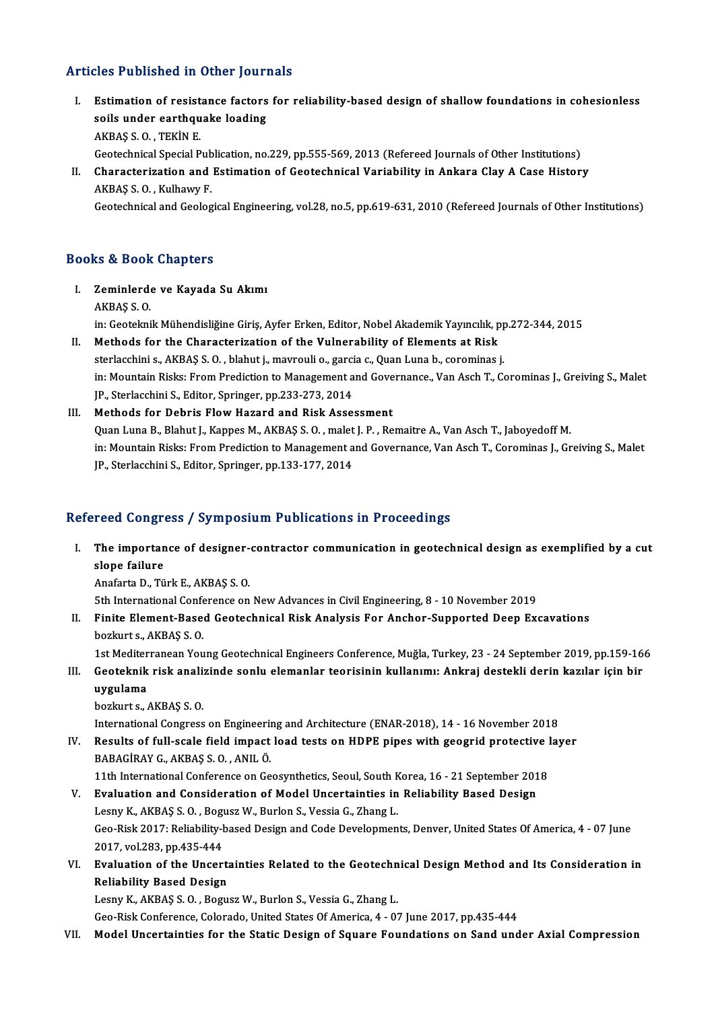### Articles Published in Other Journals

- rticles Published in Other Journals<br>I. Estimation of resistance factors for reliability-based design of shallow foundations in cohesionless<br>Reils under conthously leading stee Passished in Street Joan<br>Estimation of resistance factors<br>soils under earthquake loading soils under earthquake loading<br>AKBAŞ S.O., TEKİN E. Geotechnical Special Publication, no.229, pp.555-569, 2013 (Refereed Journals of Other Institutions)
- II. Characterization and Estimation of Geotechnical Variability in Ankara Clay A Case History AKBAŞ S.O. ,KulhawyF.

Geotechnical and Geological Engineering, vol.28, no.5, pp.619-631, 2010 (Refereed Journals of Other Institutions)

#### Books&Book Chapters

- I. Zeminlerde ve Kayada Su Akımı AKBAŞ S.O. Zeminlerde ve Kayada Su Akımı<br>AKBAŞ S. O.<br>in: Geoteknik Mühendisliğine Giriş, Ayfer Erken, Editor, Nobel Akademik Yayıncılık, pp.272-344, 2015<br>Methods for the Characterization of the Vulnerability of Elements et Biek.
- II. Methods for the Characterization of the Vulnerability of Elements at Risk in: Geoteknik Mühendisliğine Giriş, Ayfer Erken, Editor, Nobel Akademik Yayıncılık, pr<br>Methods for the Characterization of the Vulnerability of Elements at Risk<br>sterlacchini s., AKBAŞ S. O. , blahut j., mavrouli o., garcia in: Mountain Risks: From Prediction to Management and Governance., Van Asch T., Corominas J., Greiving S., Malet<br>JP., Sterlacchini S., Editor, Springer, pp.233-273, 2014 sterlacchini s., AKBAŞ S. O., blahut j., mavrouli o., garcia c., Quan Luna b., corominas j.

### III. Methods for Debris Flow Hazard and Risk Assessment Quan Luna B., Blahut J., Kappes M., AKBAŞ S. O., malet J. P., Remaitre A., Van Asch T., Jaboyedoff M. in: Mountain Risks: From Prediction to Management and Governance, Van Asch T., Corominas J., Greiving S., Malet JP., Sterlacchini S., Editor, Springer, pp.133-177, 2014

#### Refereed Congress / Symposium Publications in Proceedings

I. The importance of designer-contractor communication in geotechnical design as exemplified by a cut slope failure slope failure<br>Anafarta D., Türk E., AKBAŞ S. O.<br>5th International Conference on New Advances in Civil Engineering, 8 - 10 November 2019<br>Einite Element Based Contechnisel Bisk Analysis For Anshor Sunnerted Deen Ey

AnafartaD.,TürkE.,AKBAŞ S.O.

II. Finite Element-Based Geotechnical Risk Analysis For Anchor-Supported Deep Excavations bozkurt s., AKBAŞ S. O. 5th International Confer<br>Finite Element-Base<br>bozkurt s., AKBAŞ S. O.<br>1st Moditerranean You Finite Element-Based Geotechnical Risk Analysis For Anchor-Supported Deep Excavations<br>bozkurt s., AKBAŞ S. O.<br>1st Mediterranean Young Geotechnical Engineers Conference, Muğla, Turkey, 23 - 24 September 2019, pp.159-166<br>Coo

bozkurt s., AKBAŞ S. O.<br>159-16 1st Mediterranean Young Geotechnical Engineers Conference, Muğla, Turkey, 23 - 24 September 2019, pp.159<br>11. Geoteknik risk analizinde sonlu elemanlar teorisinin kullanımı: Ankraj destekli de 1st Mediter<br>Geoteknik<br>uygulama<br>berkurt 8 III. Geoteknik risk analizinde sonlu elemanlar teorisinin kullanımı: Ankraj destekli derin kazılar için bir uygulama<br>bozkurt s., AKBAŞ S.O.

International Congress on Engineering and Architecture (ENAR-2018), 14 - 16 November 2018

bozkurt s., AKBAŞ S. O.<br>International Congress on Engineering and Architecture (ENAR-2018), 14 - 16 November 2018<br>IV. Results of full-scale field impact load tests on HDPE pipes with geogrid protective layer<br>BARACIRAY C. A International Congress on Engineerin<br>Results of full-scale field impact<br>BABAGİRAY G., AKBAŞ S.O. , ANIL Ö.<br>11th International Conference on Co Results of full-scale field impact load tests on HDPE pipes with geogrid protective l<br>BABAGİRAY G., AKBAŞ S. O. , ANIL Ö.<br>11th International Conference on Geosynthetics, Seoul, South Korea, 16 - 21 September 2018<br>Evaluatio BABAGİRAY G., AKBAŞ S. O. , ANIL Ö.<br>11th International Conference on Geosynthetics, Seoul, South Korea, 16 - 21 September 201<br>1. Evaluation and Consideration of Model Uncertainties in Reliability Based Design

11th International Conference on Geosynthetics, Seoul, South Korea, 16 - 21 September 2018

- Geo-Risk 2017: Reliability-based Design and Code Developments, Denver, United States Of America, 4 07 June<br>2017, vol.283, pp.435-444 Lesny K., AKBAŞ S. O., Bogusz W., Burlon S., Vessia G., Zhang L. Geo-Risk 2017: Reliability-based Design and Code Developments, Denver, United States Of America, 4 - 07 June<br>2017, vol.283, pp.435-444<br>VI. Evaluation of the Uncertainties Related to the Geotechnical Design Method and Its C
- 2017, vol.283, pp.435-444<br>Evaluation of the Uncert:<br>Reliability Based Design<br>Leapy K. AKRAS S. O. Begy Evaluation of the Uncertainties Related to the Geotechn<br>Reliability Based Design<br>Lesny K., AKBAŞ S.O., Bogusz W., Burlon S., Vessia G., Zhang L.<br>Ceo Bisk Conference Colorado United States Of America A. O. Reliability Based Design<br>Lesny K., AKBAŞ S. O. , Bogusz W., Burlon S., Vessia G., Zhang L.<br>Geo-Risk Conference, Colorado, United States Of America, 4 - 07 June 2017, pp.435-444

VII. Model Uncertainties for the Static Design of Square Foundations on Sand under Axial Compression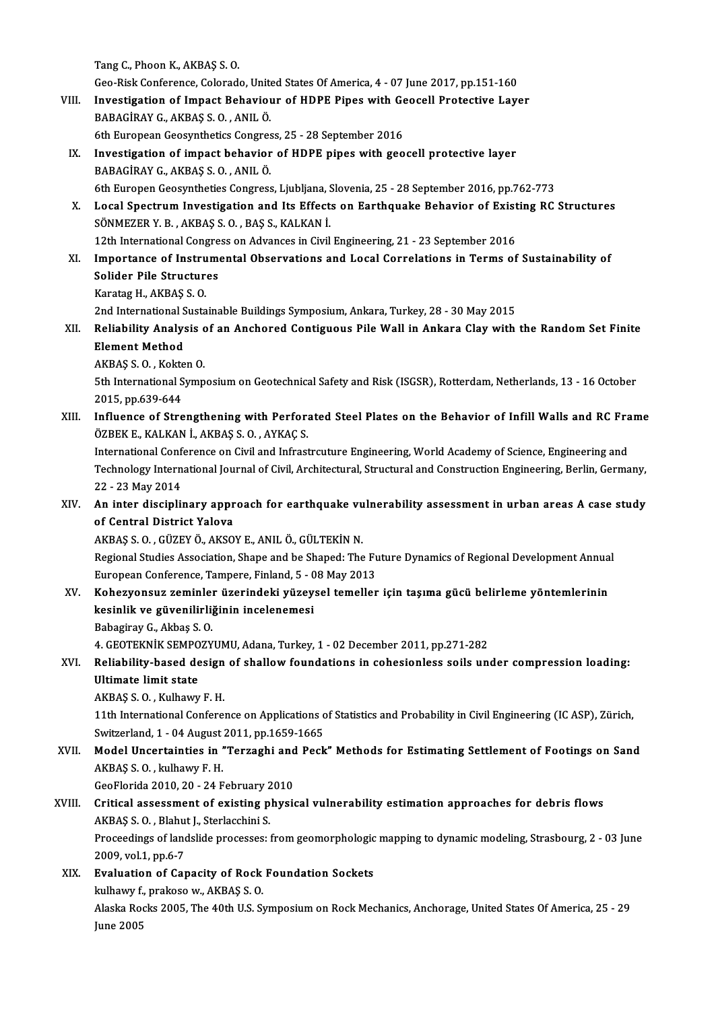TangC.,PhoonK.,AKBAŞ S.O.

Geo-Risk Conference, Colorado, United States Of America, 4 - 07 June 2017, pp.151-160

- Tang C., Phoon K., AKBAŞ S. O.<br>Geo-Risk Conference, Colorado, United States Of America, 4 07 June 2017, pp.151-160<br>VIII. Investigation of Impact Behaviour of HDPE Pipes with Geocell Protective Layer<br>RABACIBAY G. AYBAS S. Geo-Risk Conference, Colorado, Unite<br>Investigation of Impact Behaviou<br>BABAGİRAY G., AKBAŞ S.O. , ANIL Ö. Investigation of Impact Behaviour of HDPE Pipes with Ge<br>BABAGİRAY G., AKBAŞ S. O. , ANIL Ö.<br>6th European Geosynthetics Congress, 25 - 28 September 2016<br>Investigation of impact behavior of HDPE pines with 500
	-
- BABAGİRAY G., AKBAŞ S. O. , ANIL Ö.<br>6th European Geosynthetics Congress, 25 28 September 2016<br>IX. Investigation of impact behavior of HDPE pipes with geocell protective layer<br>BABAGİRAY G., AKBAŞ S. O. , ANIL Ö. 6th European Geosynthetics Congres<br>Investigation of impact behavior<br>BABAGİRAY G., AKBAŞ S.O. , ANIL Ö. 6th Europen Geosyntheties Congress, Ljubljana, Slovenia, 25 - 28 September 2016, pp.762-773 BABAGİRAY G., AKBAŞ S. O. , ANIL Ö.<br>6th Europen Geosyntheties Congress, Ljubljana, Slovenia, 25 - 28 September 2016, pp.762-773<br>8. Local Spectrum Investigation and Its Effects on Earthquake Behavior of Existing RC Structur
- 6th Europen Geosyntheties Congress, Ljubljana, S.<br>Local Spectrum Investigation and Its Effect:<br>SÖNMEZER Y. B. , AKBAŞ S. O. , BAŞ S., KALKAN İ.<br>12th International Congress on Advances in Givil Local Spectrum Investigation and Its Effects on Earthquake Behavior of Exist<br>SÖNMEZER Y. B. , AKBAŞ S. O. , BAŞ S., KALKAN İ.<br>12th International Congress on Advances in Civil Engineering, 21 - 23 September 2016<br>Importange 12th International Congress on Advances in Civil Engineering, 21 - 23 September 2016
- SÖNMEZER Y. B. , AKBAŞ S. O. , BAŞ S., KALKAN İ.<br>12th International Congress on Advances in Civil Engineering, 21 23 September 2016<br>XI. Importance of Instrumental Observations and Local Correlations in Terms of Sustainab Solider Pile Structures<br>Karatag H., AKBAŞ S. O.<br>2nd International Sustainable Buildings Symposium, Ankara, Turkey, 28 - 30 May 2015<br>Beliability Anglygis of an Angboned Contiguous Bile Wall in Ankara Clay with

KaratagH.,AKBAŞ S.O.

Karatag H., AKBAŞ S. O.<br>2nd International Sustainable Buildings Symposium, Ankara, Turkey, 28 - 30 May 2015<br>XII. Reliability Analysis of an Anchored Contiguous Pile Wall in Ankara Clay with the Random Set Finite<br>Flomen 2nd International S<br>Reliability Analys<br>Element Method<br>AKBAS S.O. Kolto Reliability Analysis c<br>Element Method<br>AKBAŞ S.O., Kokten O.<br>Eth International Sumn

Element Method<br>AKBAŞ S. O. , Kokten O.<br>5th International Symposium on Geotechnical Safety and Risk (ISGSR), Rotterdam, Netherlands, 13 - 16 October<br>2015. pp.629.644. AKBAŞ S. O. , Kokte<br>5th International S<br>2015, pp.639-644<br>Influence of Stre 5th International Symposium on Geotechnical Safety and Risk (ISGSR), Rotterdam, Netherlands, 13 - 16 October<br>2015, pp.639-644<br>XIII. Influence of Strengthening with Perforated Steel Plates on the Behavior of Infill Walls an

2015, pp.639-644<br>XIII. Influence of Strengthening with Perforated Steel Plates on the Behavior of Infill Walls and RC Frame<br>ÖZBEK E., KALKAN İ., AKBAŞ S. O. , AYKAÇ S. Influence of Strengthening with Perforated Steel Plates on the Behavior of Infill Walls and RC Fra<br>ÖZBEK E., KALKAN İ., AKBAŞ S. O. , AYKAÇ S.<br>International Conference on Civil and Infrastrcuture Engineering, World Academy

ÖZBEK E., KALKAN İ., AKBAŞ S. O. , AYKAÇ S.<br>International Conference on Civil and Infrastrcuture Engineering, World Academy of Science, Engineering and<br>Technology International Journal of Civil, Architectural, Structural a International Confr<br>Technology Intern<br>22 - 23 May 2014<br>An inter discipli Technology International Journal of Civil, Architectural, Structural and Construction Engineering, Berlin, Germany,<br>22 - 23 May 2014<br>XIV. An inter disciplinary approach for earthquake vulnerability assessment in urban area

22 - 23 May 2014<br>An inter disciplinary appr<br>of Central District Yalova<br>AKRAS S.O. CÜZEVÖ AKSO An inter disciplinary approach for earthquake vu<br>of Central District Yalova<br>AKBAŞ S.O.,GÜZEYÖ., AKSOYE., ANILÖ., GÜLTEKİN N.<br>Begianal Studies Assosiation Shane and be Shaned: The

of Central District Yalova<br>AKBAŞ S. O. , GÜZEY Ö., AKSOY E., ANIL Ö., GÜLTEKİN N.<br>Regional Studies Association, Shape and be Shaped: The Future Dynamics of Regional Development Annual<br>European Conference, Tampere, Finland, AKBAŞ S. O. , GÜZEY Ö., AKSOY E., ANIL Ö., GÜLTEKİN N.<br>Regional Studies Association, Shape and be Shaped: The Fu<br>European Conference, Tampere, Finland, 5 - 08 May 2013<br>Koheryeneya zeminler ürenindeki yüzeyeel temeller Regional Studies Association, Shape and be Shaped: The Future Dynamics of Regional Development Annua<br>European Conference, Tampere, Finland, 5 - 08 May 2013<br>XV. Kohezyonsuz zeminler üzerindeki yüzeysel temeller için taşıma

# European Conference, Tampere, Finland, 5 - 0<br>Kohezyonsuz zeminler üzerindeki yüzey<br>kesinlik ve güvenilirliğinin incelenemesi<br>Beheginav C. Althas S.O Kohezyonsuz zeminlei<br>kesinlik ve güvenilirli<br>Babagiray G., Akbaş S. O.<br>4. CEOTEKNİK SEMPOZY kesinlik ve güvenilirliğinin incelenemesi<br>Babagiray G., Akbaş S. O.<br>4. GEOTEKNİK SEMPOZYUMU, Adana, Turkey, 1 - 02 December 2011, pp.271-282<br>Beliability based design of shallow foundations in sebesispless sails un

# Babagiray G., Akbaş S. O.<br>4. GEOTEKNIK SEMPOZYUMU, Adana, Turkey, 1 - 02 December 2011, pp.271-282<br>XVI. Reliability-based design of shallow foundations in cohesionless soils under compression loading:<br>Illtimate limit s 4. GEOTEKNIK SEMPO<br>Reliability-based de<br>Ultimate limit state<br>AKPAS S.O. Kulboury Reliability-based design<br>Ultimate limit state<br>AKBAŞ S.O., Kulhawy F.H.<br>11th International Confere

Ultimate limit state<br>AKBAŞ S. O. , Kulhawy F. H.<br>11th International Conference on Applications of Statistics and Probability in Civil Engineering (IC ASP), Zürich,<br>Suitzerland 1, .04 August 2011, pp.1659,1665 AKBAŞ S. O. , Kulhawy F. H.<br>11th International Conference on Applications of<br>Switzerland, 1 - 04 August 2011, pp.1659-1665<br>Model Uncertainties in "Terrashi and Bosk 11th International Conference on Applications of Statistics and Probability in Civil Engineering (IC ASP), Zürich,<br>Switzerland, 1 - 04 August 2011, pp.1659-1665<br>XVII. Model Uncertainties in "Terzaghi and Peck" Methods for

Switzerland, 1 - 04 August 2011, pp.1659-1665<br>Model Uncertainties in "Terzaghi and Peck" Methods for Estimating Settlement of Footings on Sand<br>AKBAŞ S. O. , kulhawy F. H. Model Uncertainties in "Terzaghi and<br>AKBAŞ S. O. , kulhawy F. H.<br>GeoFlorida 2010, 20 - 24 February 2010<br>Critical assessment of evisting physic

## XVIII. Critical assessment of existing physical vulnerability estimation approaches for debris flows<br>AKBAS S. O., Blahut J., Sterlacchini S. GeoFlorida 2010, 20 - 24 February 2<br>Critical assessment of existing p<br>AKBAŞ S. O. , Blahut J., Sterlacchini S.<br>Proceedings of landslide processes: Critical assessment of existing physical vulnerability estimation approaches for debris flows<br>AKBAŞ S. O. , Blahut J., Sterlacchini S.<br>Proceedings of landslide processes: from geomorphologic mapping to dynamic modeling, St

AKBAŞ S. O. , Blahu<br>Proceedings of land<br>2009, vol.1, pp.6-7<br>Evoluction of Cor

XIX. Evaluation of Capacity of Rock Foundation Sockets 2009, vol.1, pp.6-7<br>**Evaluation of Capacity of Rock**<br>kulhawy f., prakoso w., AKBAŞ S. O.<br>Alaska Boska 2005, The 40th U.S. S.

Alaska Rocks 2005, The 40th U.S. Symposium on Rock Mechanics, Anchorage, United States Of America, 25 - 29<br>June 2005 kulhawy f.<br>Alaska Ro<br>June 2005